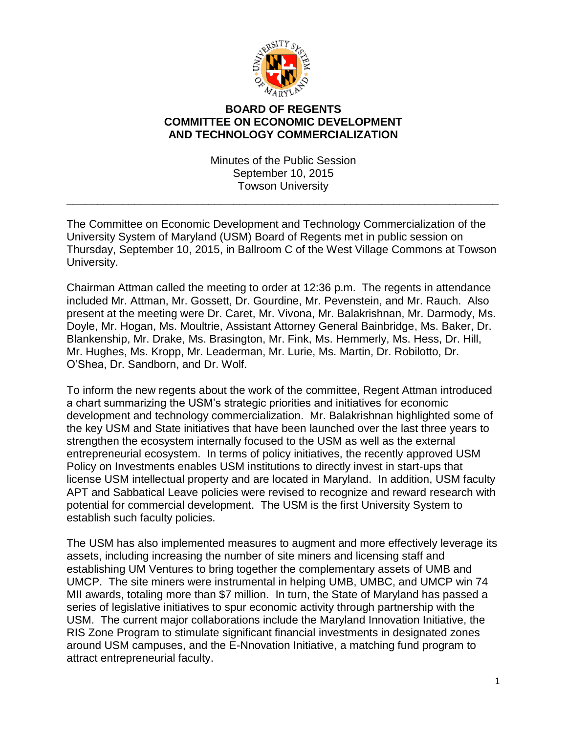

## **BOARD OF REGENTS COMMITTEE ON ECONOMIC DEVELOPMENT AND TECHNOLOGY COMMERCIALIZATION**

Minutes of the Public Session September 10, 2015 Towson University

\_\_\_\_\_\_\_\_\_\_\_\_\_\_\_\_\_\_\_\_\_\_\_\_\_\_\_\_\_\_\_\_\_\_\_\_\_\_\_\_\_\_\_\_\_\_\_\_\_\_\_\_\_\_\_\_\_\_\_\_\_\_\_\_\_\_\_\_\_\_

The Committee on Economic Development and Technology Commercialization of the University System of Maryland (USM) Board of Regents met in public session on Thursday, September 10, 2015, in Ballroom C of the West Village Commons at Towson University.

Chairman Attman called the meeting to order at 12:36 p.m. The regents in attendance included Mr. Attman, Mr. Gossett, Dr. Gourdine, Mr. Pevenstein, and Mr. Rauch. Also present at the meeting were Dr. Caret, Mr. Vivona, Mr. Balakrishnan, Mr. Darmody, Ms. Doyle, Mr. Hogan, Ms. Moultrie, Assistant Attorney General Bainbridge, Ms. Baker, Dr. Blankenship, Mr. Drake, Ms. Brasington, Mr. Fink, Ms. Hemmerly, Ms. Hess, Dr. Hill, Mr. Hughes, Ms. Kropp, Mr. Leaderman, Mr. Lurie, Ms. Martin, Dr. Robilotto, Dr. O'Shea, Dr. Sandborn, and Dr. Wolf.

To inform the new regents about the work of the committee, Regent Attman introduced a chart summarizing the USM's strategic priorities and initiatives for economic development and technology commercialization. Mr. Balakrishnan highlighted some of the key USM and State initiatives that have been launched over the last three years to strengthen the ecosystem internally focused to the USM as well as the external entrepreneurial ecosystem. In terms of policy initiatives, the recently approved USM Policy on Investments enables USM institutions to directly invest in start-ups that license USM intellectual property and are located in Maryland. In addition, USM faculty APT and Sabbatical Leave policies were revised to recognize and reward research with potential for commercial development. The USM is the first University System to establish such faculty policies.

The USM has also implemented measures to augment and more effectively leverage its assets, including increasing the number of site miners and licensing staff and establishing UM Ventures to bring together the complementary assets of UMB and UMCP. The site miners were instrumental in helping UMB, UMBC, and UMCP win 74 MII awards, totaling more than \$7 million. In turn, the State of Maryland has passed a series of legislative initiatives to spur economic activity through partnership with the USM. The current major collaborations include the Maryland Innovation Initiative, the RIS Zone Program to stimulate significant financial investments in designated zones around USM campuses, and the E-Nnovation Initiative, a matching fund program to attract entrepreneurial faculty.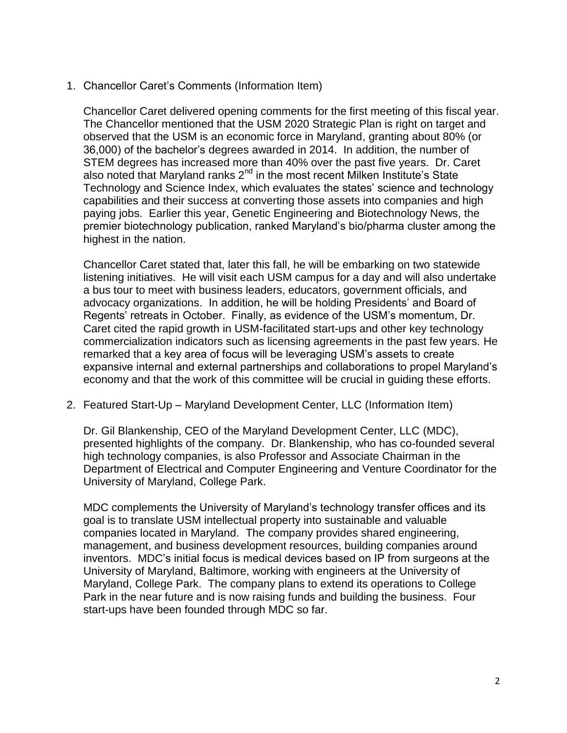1. Chancellor Caret's Comments (Information Item)

Chancellor Caret delivered opening comments for the first meeting of this fiscal year. The Chancellor mentioned that the USM 2020 Strategic Plan is right on target and observed that the USM is an economic force in Maryland, granting about 80% (or 36,000) of the bachelor's degrees awarded in 2014. In addition, the number of STEM degrees has increased more than 40% over the past five years. Dr. Caret also noted that Maryland ranks  $2^{nd}$  in the most recent Milken Institute's State Technology and Science Index, which evaluates the states' science and technology capabilities and their success at converting those assets into companies and high paying jobs. Earlier this year, Genetic Engineering and Biotechnology News, the premier biotechnology publication, ranked Maryland's bio/pharma cluster among the highest in the nation.

Chancellor Caret stated that, later this fall, he will be embarking on two statewide listening initiatives. He will visit each USM campus for a day and will also undertake a bus tour to meet with business leaders, educators, government officials, and advocacy organizations. In addition, he will be holding Presidents' and Board of Regents' retreats in October. Finally, as evidence of the USM's momentum, Dr. Caret cited the rapid growth in USM-facilitated start-ups and other key technology commercialization indicators such as licensing agreements in the past few years. He remarked that a key area of focus will be leveraging USM's assets to create expansive internal and external partnerships and collaborations to propel Maryland's economy and that the work of this committee will be crucial in guiding these efforts.

2. Featured Start-Up – Maryland Development Center, LLC (Information Item)

Dr. Gil Blankenship, CEO of the Maryland Development Center, LLC (MDC), presented highlights of the company. Dr. Blankenship, who has co-founded several high technology companies, is also Professor and Associate Chairman in the Department of Electrical and Computer Engineering and Venture Coordinator for the University of Maryland, College Park.

MDC complements the University of Maryland's technology transfer offices and its goal is to translate USM intellectual property into sustainable and valuable companies located in Maryland. The company provides shared engineering, management, and business development resources, building companies around inventors. MDC's initial focus is medical devices based on IP from surgeons at the University of Maryland, Baltimore, working with engineers at the University of Maryland, College Park. The company plans to extend its operations to College Park in the near future and is now raising funds and building the business. Four start-ups have been founded through MDC so far.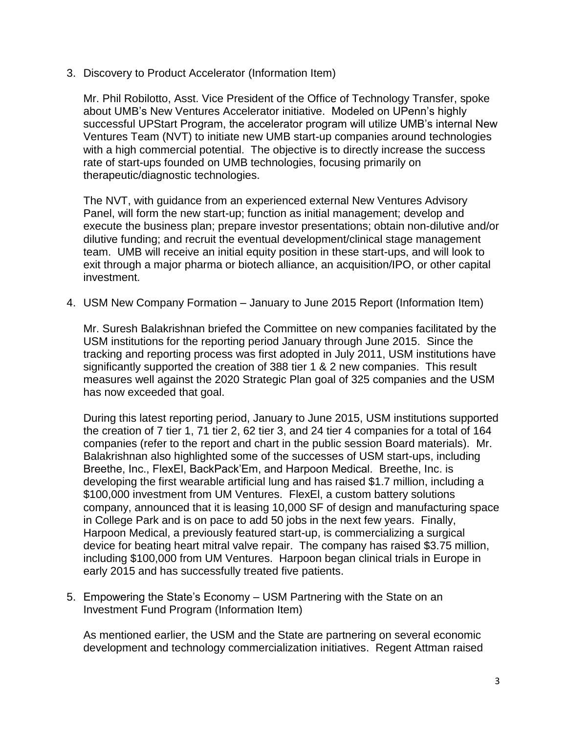3. Discovery to Product Accelerator (Information Item)

Mr. Phil Robilotto, Asst. Vice President of the Office of Technology Transfer, spoke about UMB's New Ventures Accelerator initiative. Modeled on UPenn's highly successful UPStart Program, the accelerator program will utilize UMB's internal New Ventures Team (NVT) to initiate new UMB start-up companies around technologies with a high commercial potential. The objective is to directly increase the success rate of start-ups founded on UMB technologies, focusing primarily on therapeutic/diagnostic technologies.

The NVT, with guidance from an experienced external New Ventures Advisory Panel, will form the new start-up; function as initial management; develop and execute the business plan; prepare investor presentations; obtain non-dilutive and/or dilutive funding; and recruit the eventual development/clinical stage management team. UMB will receive an initial equity position in these start-ups, and will look to exit through a major pharma or biotech alliance, an acquisition/IPO, or other capital investment.

4. USM New Company Formation – January to June 2015 Report (Information Item)

Mr. Suresh Balakrishnan briefed the Committee on new companies facilitated by the USM institutions for the reporting period January through June 2015. Since the tracking and reporting process was first adopted in July 2011, USM institutions have significantly supported the creation of 388 tier 1 & 2 new companies. This result measures well against the 2020 Strategic Plan goal of 325 companies and the USM has now exceeded that goal.

During this latest reporting period, January to June 2015, USM institutions supported the creation of 7 tier 1, 71 tier 2, 62 tier 3, and 24 tier 4 companies for a total of 164 companies (refer to the report and chart in the public session Board materials). Mr. Balakrishnan also highlighted some of the successes of USM start-ups, including Breethe, Inc., FlexEl, BackPack'Em, and Harpoon Medical. Breethe, Inc. is developing the first wearable artificial lung and has raised \$1.7 million, including a \$100,000 investment from UM Ventures. FlexEl, a custom battery solutions company, announced that it is leasing 10,000 SF of design and manufacturing space in College Park and is on pace to add 50 jobs in the next few years. Finally, Harpoon Medical, a previously featured start-up, is commercializing a surgical device for beating heart mitral valve repair. The company has raised \$3.75 million, including \$100,000 from UM Ventures. Harpoon began clinical trials in Europe in early 2015 and has successfully treated five patients.

5. Empowering the State's Economy – USM Partnering with the State on an Investment Fund Program (Information Item)

As mentioned earlier, the USM and the State are partnering on several economic development and technology commercialization initiatives. Regent Attman raised